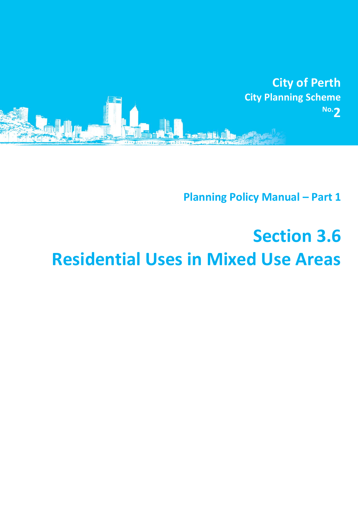

**Planning Policy Manual - Part 1** 

## **Section 3.6 Residential Uses in Mixed Use Areas**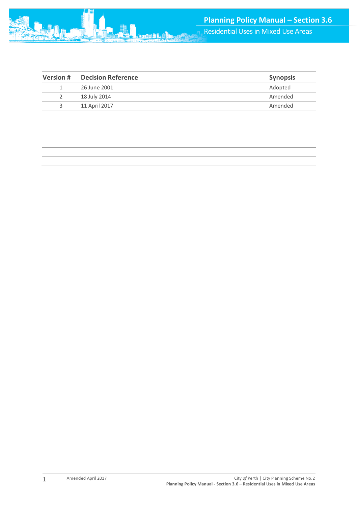| <b>Version#</b> | <b>Decision Reference</b> | <b>Synopsis</b> |
|-----------------|---------------------------|-----------------|
|                 | 26 June 2001              | Adopted         |
|                 | 18 July 2014              | Amended         |
| 3               | 11 April 2017             | Amended         |
|                 |                           |                 |
|                 |                           |                 |

1